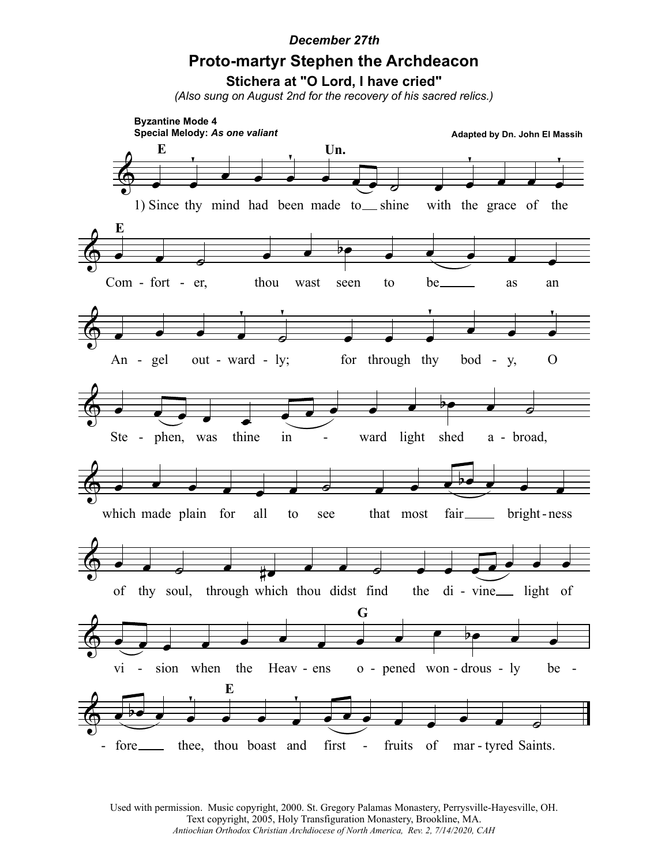## *December 27th*

## **Proto-martyr Stephen the Archdeacon**

**Stichera at "O Lord, I have cried"**

*(Also sung on August 2nd for the recovery of his sacred relics.)*



Used with permission. Music copyright, 2000. St. Gregory Palamas Monastery, Perrysville-Hayesville, OH. Text copyright, 2005, Holy Transfiguration Monastery, Brookline, MA. *Antiochian Orthodox Christian Archdiocese of North America, Rev. 2, 7/14/2020, CAH*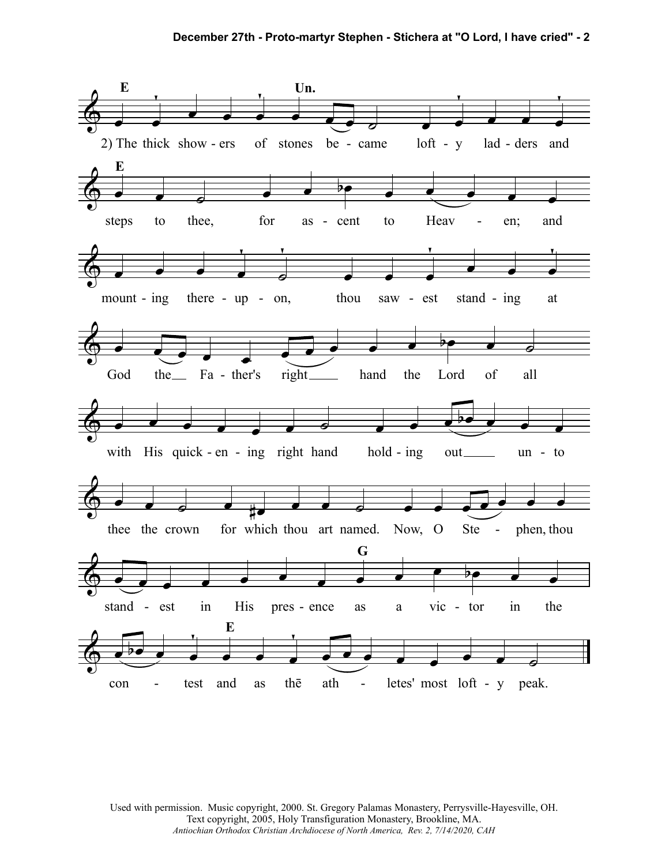

Used with permission. Music copyright, 2000. St. Gregory Palamas Monastery, Perrysville-Hayesville, OH. Text copyright, 2005, Holy Transfiguration Monastery, Brookline, MA. Antiochian Orthodox Christian Archdiocese of North America, Rev. 2, 7/14/2020, CAH